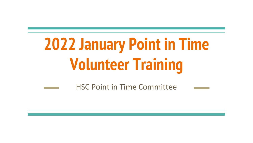# **2022 January Point in Time Volunteer Training**

HSC Point in Time Committee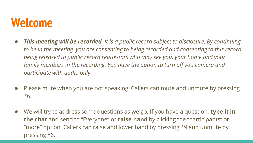#### **Welcome**

- *This meeting will be recorded. It is a public record subject to disclosure. By continuing to be in the meeting, you are consenting to being recorded and consenting to this record being released to public record requestors who may see you, your home and your family members in the recording. You have the option to turn off you camera and participate with audio only.*
- Please mute when you are not speaking. Callers can mute and unmute by pressing \*6.
- We will try to address some questions as we go. If you have a question, **type it in the chat** and send to "Everyone" or **raise hand** by clicking the "participants" or "more" option. Callers can raise and lower hand by pressing \*9 and unmute by pressing \*6.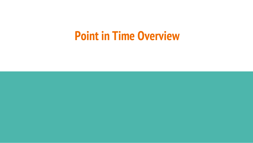#### **Point in Time Overview**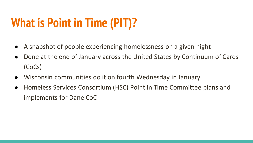### **What is Point in Time (PIT)?**

- A snapshot of people experiencing homelessness on a given night
- Done at the end of January across the United States by Continuum of Cares (CoCs)
- Wisconsin communities do it on fourth Wednesday in January
- Homeless Services Consortium (HSC) Point in Time Committee plans and implements for Dane CoC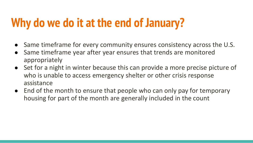#### **Why do we do it at the end of January?**

- Same timeframe for every community ensures consistency across the U.S.
- Same timeframe year after year ensures that trends are monitored appropriately
- Set for a night in winter because this can provide a more precise picture of who is unable to access emergency shelter or other crisis response assistance
- End of the month to ensure that people who can only pay for temporary housing for part of the month are generally included in the count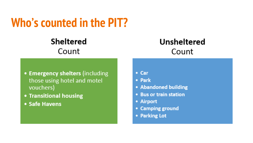#### **Who's counted in the PIT?**

#### **Sheltered** Count

#### **Unsheltered** Count

- Emergency shelters (including those using hotel and motel vouchers)
- Transitional housing
- Safe Havens
- $\cdot$  Car
- Park
- Abandoned building
- Bus or train station
- Airport
- Camping ground
- Parking Lot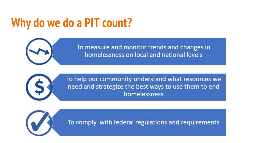### **Why do we do a PIT count?**



To measure and monitor trends and changes in homelessness on local and national levels



To help our community understand what resources we need and strategize the best ways to use them to end homelessness



To comply with federal regulations and requirements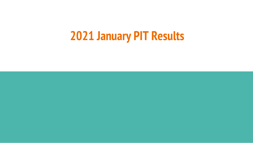#### **2021 January PIT Results**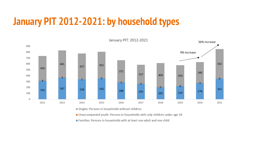#### **January PIT 2012-2021: by household types**



Singles: Persons in households without children

■ Unaccompanied youth: Persons in households with only children under age 18

Families: Persons in households with at least one adult and one child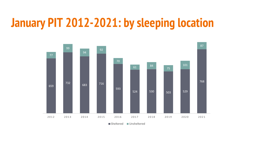#### **January PIT 2012-2021: by sleeping location**



Sheltered Unsheltered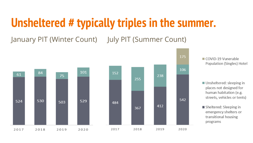#### **Unsheltered # typically triples in the summer.**

January PIT (Winter Count) July PIT (Summer Count)



COVID-19 Vunerable Population (Singles) Hotel

- Unsheltered: sleeping in places not designed for human habitation (e.g. streets, vehicles or tents)
- Sheltered: Sleeping in emergency shelters or transitional housing programs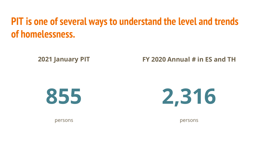#### **PIT is one of several ways to understand the level and trends of homelessness.**

**2021 January PIT** 

**FY 2020 Annual # in ES and TH**





persons

persons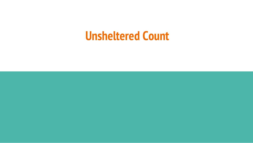#### **Unsheltered Count**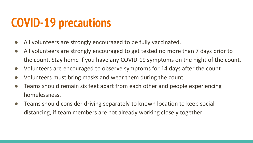#### **COVID-19 precautions**

- All volunteers are strongly encouraged to be fully vaccinated.
- All volunteers are strongly encouraged to get tested no more than 7 days prior to the count. Stay home if you have any COVID-19 symptoms on the night of the count.
- Volunteers are encouraged to observe symptoms for 14 days after the count
- Volunteers must bring masks and wear them during the count.
- Teams should remain six feet apart from each other and people experiencing homelessness.
- Teams should consider driving separately to known location to keep social distancing, if team members are not already working closely together.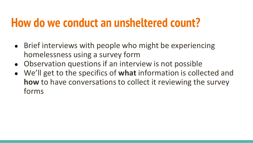#### **How do we conduct an unsheltered count?**

- Brief interviews with people who might be experiencing homelessness using a survey form
- Observation questions if an interview is not possible
- We'll get to the specifics of **what** information is collected and **how** to have conversations to collect it reviewing the survey forms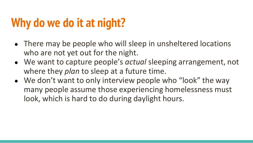### **Why do we do it at night?**

- There may be people who will sleep in unsheltered locations who are not yet out for the night.
- We want to capture people's *actual* sleeping arrangement, not where they *plan* to sleep at a future time.
- We don't want to only interview people who "look" the way many people assume those experiencing homelessness must look, which is hard to do during daylight hours.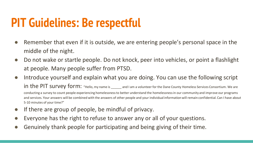#### **PIT Guidelines: Be respectful**

- Remember that even if it is outside, we are entering people's personal space in the middle of the night.
- Do not wake or startle people. Do not knock, peer into vehicles, or point a flashlight at people. Many people suffer from PTSD.
- Introduce yourself and explain what you are doing. You can use the following script in the PIT survey form: "Hello, my name is \_\_\_\_\_\_ and I am a volunteer for the Dane County Homeless Services Consortium. We are conducting a survey to count people experiencing homelessness to better understand the homelessness in our community and improve our programs and services. Your answers will be combined with the answers of other people and your individual information will remain confidential. Can I have about 5-10 minutes of your time?"
- If there are group of people, be mindful of privacy.
- Everyone has the right to refuse to answer any or all of your questions.
- Genuinely thank people for participating and being giving of their time.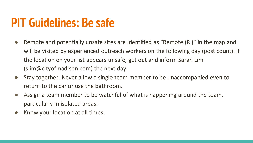#### **PIT Guidelines: Be safe**

- Remote and potentially unsafe sites are identified as "Remote (R)" in the map and will be visited by experienced outreach workers on the following day (post count). If the location on your list appears unsafe, get out and inform Sarah Lim (slim@cityofmadison.com) the next day.
- Stay together. Never allow a single team member to be unaccompanied even to return to the car or use the bathroom.
- Assign a team member to be watchful of what is happening around the team, particularly in isolated areas.
- Know your location at all times.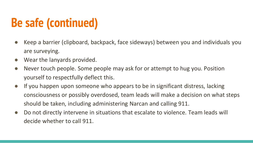### **Be safe (continued)**

- Keep a barrier (clipboard, backpack, face sideways) between you and individuals you are surveying.
- Wear the lanyards provided.
- Never touch people. Some people may ask for or attempt to hug you. Position yourself to respectfully deflect this.
- If you happen upon someone who appears to be in significant distress, lacking consciousness or possibly overdosed, team leads will make a decision on what steps should be taken, including administering Narcan and calling 911.
- Do not directly intervene in situations that escalate to violence. Team leads will decide whether to call 911.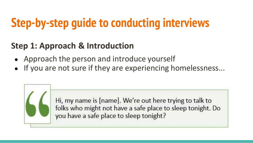#### **Step 1: Approach & Introduction**

- Approach the person and introduce yourself
- If you are not sure if they are experiencing homelessness...



Hi, my name is [name]. We're out here trying to talk to folks who might not have a safe place to sleep tonight. Do you have a safe place to sleep tonight?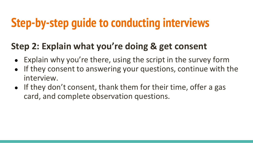#### **Step 2: Explain what you're doing & get consent**

- Explain why you're there, using the script in the survey form
- If they consent to answering your questions, continue with the interview.
- If they don't consent, thank them for their time, offer a gas card, and complete observation questions.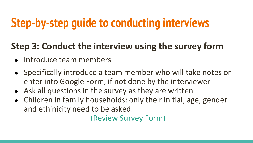#### **Step 3: Conduct the interview using the survey form**

- Introduce team members
- Specifically introduce a team member who will take notes or enter into Google Form, if not done by the interviewer
- Ask all questions in the survey as they are written
- Children in family households: only their initial, age, gender and ethinicity need to be asked.

(Review Survey Form)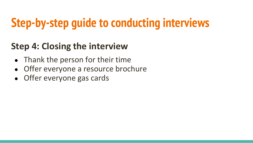#### **Step 4: Closing the interview**

- Thank the person for their time
- Offer everyone a resource brochure
- Offer everyone gas cards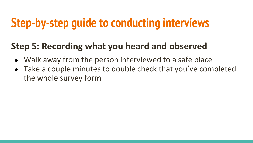#### **Step 5: Recording what you heard and observed**

- Walk away from the person interviewed to a safe place
- Take a couple minutes to double check that you've completed the whole survey form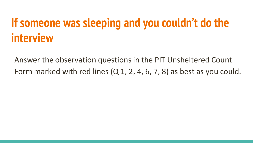#### **If someone was sleeping and you couldn't do the interview**

Answer the observation questions in the PIT Unsheltered Count Form marked with red lines (Q 1, 2, 4, 6, 7, 8) as best as you could.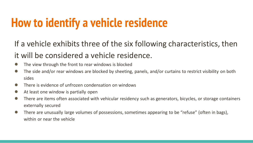#### **How to identify a vehicle residence**

If a vehicle exhibits three of the six following characteristics, then it will be considered a vehicle residence.

- The view through the front to rear windows is blocked
- The side and/or rear windows are blocked by sheeting, panels, and/or curtains to restrict visibility on both sides
- There is evidence of unfrozen condensation on windows
- At least one window is partially open
- There are items often associated with vehicular residency such as generators, bicycles, or storage containers externally secured
- There are unusually large volumes of possessions, sometimes appearing to be "refuse" (often in bags), within or near the vehicle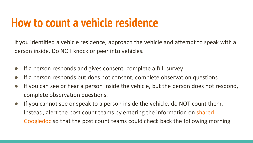#### **How to count a vehicle residence**

If you identified a vehicle residence, approach the vehicle and attempt to speak with a person inside. Do NOT knock or peer into vehicles.

- If a person responds and gives consent, complete a full survey.
- If a person responds but does not consent, complete observation questions.
- If you can see or hear a person inside the vehicle, but the person does not respond, complete observation questions.
- If you cannot see or speak to a person inside the vehicle, do NOT count them. Instead, alert the post count teams by entering the information on shared Googledoc so that the post count teams could check back the following morning.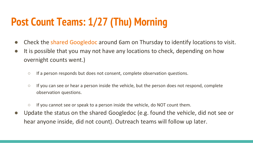#### **Post Count Teams: 1/27 (Thu) Morning**

- Check the shared Googledoc around 6am on Thursday to identify locations to visit.
- It is possible that you may not have any locations to check, depending on how overnight counts went.)
	- If a person responds but does not consent, complete observation questions.
	- If you can see or hear a person inside the vehicle, but the person does not respond, complete observation questions.
	- If you cannot see or speak to a person inside the vehicle, do NOT count them.
- Update the status on the shared Googledoc (e.g. found the vehicle, did not see or hear anyone inside, did not count). Outreach teams will follow up later.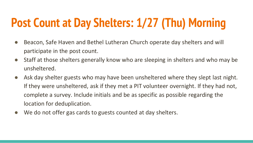### **Post Count at Day Shelters: 1/27 (Thu) Morning**

- Beacon, Safe Haven and Bethel Lutheran Church operate day shelters and will participate in the post count.
- Staff at those shelters generally know who are sleeping in shelters and who may be unsheltered.
- Ask day shelter guests who may have been unsheltered where they slept last night. If they were unsheltered, ask if they met a PIT volunteer overnight. If they had not, complete a survey. Include initials and be as specific as possible regarding the location for deduplication.
- We do not offer gas cards to guests counted at day shelters.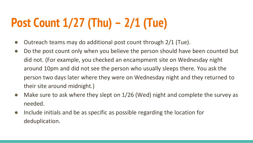## **Post Count 1/27 (Thu) – 2/1 (Tue)**

- Outreach teams may do additional post count through 2/1 (Tue).
- Do the post count only when you believe the person should have been counted but did not. (For example, you checked an encampment site on Wednesday night around 10pm and did not see the person who usually sleeps there. You ask the person two days later where they were on Wednesday night and they returned to their site around midnight.)
- Make sure to ask where they slept on 1/26 (Wed) night and complete the survey as needed.
- Include initials and be as specific as possible regarding the location for deduplication.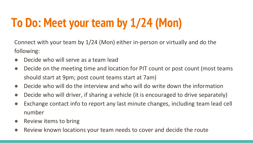## **To Do: Meet your team by 1/24 (Mon)**

Connect with your team by 1/24 (Mon) either in-person or virtually and do the following:

- Decide who will serve as a team lead
- Decide on the meeting time and location for PIT count or post count (most teams should start at 9pm; post count teams start at 7am)
- Decide who will do the interview and who will do write down the information
- Decide who will driver, if sharing a vehicle (it is encouraged to drive separately)
- Exchange contact info to report any last minute changes, including team lead cell number
- Review items to bring
- Review known locations your team needs to cover and decide the route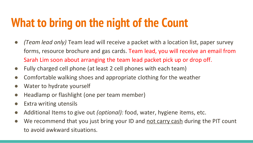### **What to bring on the night of the Count**

- *(Team lead only)* Team lead will receive a packet with a location list, paper survey forms, resource brochure and gas cards. Team lead, you will receive an email from Sarah Lim soon about arranging the team lead packet pick up or drop off.
- Fully charged cell phone (at least 2 cell phones with each team)
- Comfortable walking shoes and appropriate clothing for the weather
- Water to hydrate yourself
- Headlamp or flashlight (one per team member)
- Extra writing utensils
- Additional Items to give out *(optional):* food, water, hygiene items, etc.
- We recommend that you just bring your ID and not carry cash during the PIT count to avoid awkward situations.